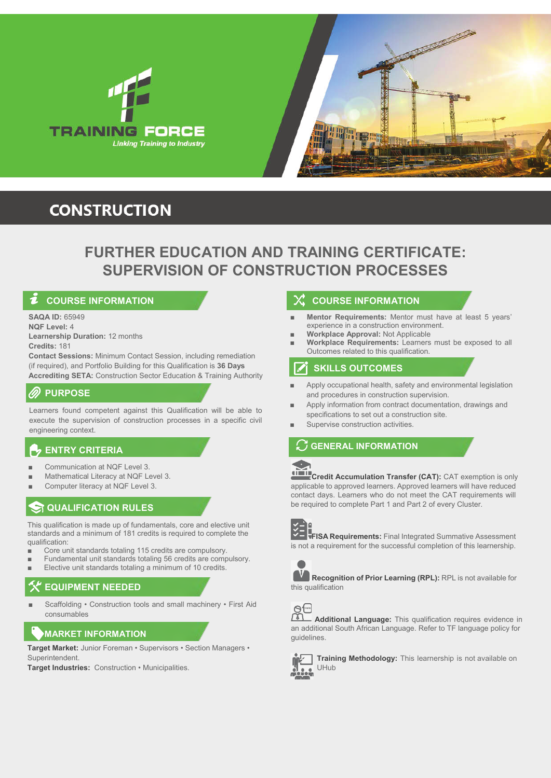



# **CONSTRUCTION**

# **FURTHER EDUCATION AND TRAINING CERTIFICATE: SUPERVISION OF CONSTRUCTION PROCESSES**

# **COURSE INFORMATION**

**SAQA ID:** 65949

**NQF Level:** 4 **Learnership Duration:** 12 months

**Credits:** 181

**Contact Sessions:** Minimum Contact Session, including remediation (if required), and Portfolio Building for this Qualification is **36 Days Accrediting SETA:** Construction Sector Education & Training Authority

### **PURPOSE**

Learners found competent against this Qualification will be able to execute the supervision of construction processes in a specific civil engineering context.

# **ENTRY CRITERIA**

- Communication at NQF Level 3.
- Mathematical Literacy at NQF Level 3.
- Computer literacy at NQF Level 3.

# **QUALIFICATION RULES**

This qualification is made up of fundamentals, core and elective unit standards and a minimum of 181 credits is required to complete the qualification:

- Core unit standards totaling 115 credits are compulsory.
- Fundamental unit standards totaling 56 credits are compulsory.
- Elective unit standards totaling a minimum of 10 credits.

# **EQUIPMENT NEEDED**

Scaffolding • Construction tools and small machinery • First Aid consumables

# **MARKET INFORMATION**

**Target Market:** Junior Foreman • Supervisors • Section Managers • Superintendent.

**Target Industries:** Construction • Municipalities.

### **COURSE INFORMATION**

- **Mentor Requirements:** Mentor must have at least 5 years' experience in a construction environment.
- **Workplace Approval:** Not Applicable
- **Workplace Requirements:** Learners must be exposed to all Outcomes related to this qualification.

# **SKILLS OUTCOMES**

- Apply occupational health, safety and environmental legislation and procedures in construction supervision.
- Apply information from contract documentation, drawings and specifications to set out a construction site.
- Supervise construction activities.

# **GENERAL INFORMATION**

**Credit Accumulation Transfer (CAT):** CAT exemption is only applicable to approved learners. Approved learners will have reduced contact days. Learners who do not meet the CAT requirements will be required to complete Part 1 and Part 2 of every Cluster.



**FISA Requirements:** Final Integrated Summative Assessment is not a requirement for the successful completion of this learnership.



**Recognition of Prior Learning (RPL):** RPL is not available for this qualification

 $\Theta$   $\mathbb{E}$ m

**Additional Language:** This qualification requires evidence in an additional South African Language. Refer to TF language policy for guidelines.



**Training Methodology:** This learnership is not available on UHub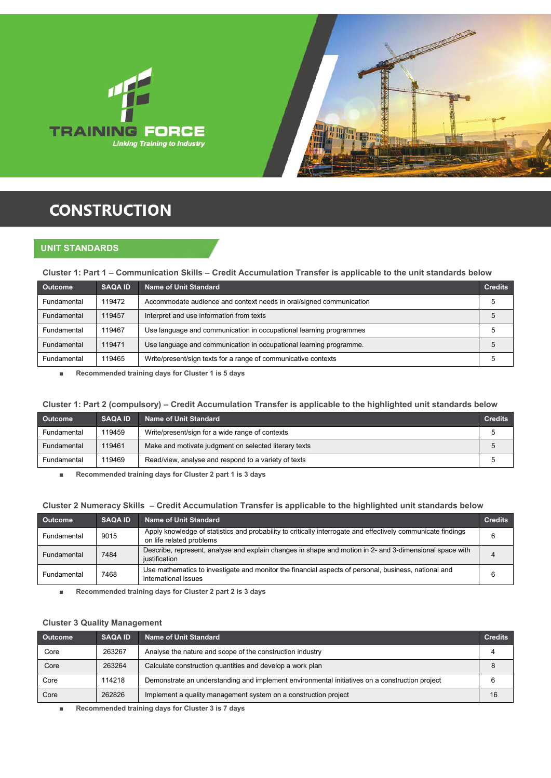



# **CONSTRUCTION**

### **UNIT STANDARDS**

### **Cluster 1: Part 1 – Communication Skills – Credit Accumulation Transfer is applicable to the unit standards below**

| <b>Outcome</b> | <b>SAQA ID</b> | <b>Name of Unit Standard</b>                                        | <b>Credits</b> |
|----------------|----------------|---------------------------------------------------------------------|----------------|
| Fundamental    | 119472         | Accommodate audience and context needs in oral/signed communication |                |
| Fundamental    | 119457         | Interpret and use information from texts                            |                |
| Fundamental    | 119467         | Use language and communication in occupational learning programmes  |                |
| Fundamental    | 119471         | Use language and communication in occupational learning programme.  |                |
| Fundamental    | 119465         | Write/present/sign texts for a range of communicative contexts      |                |

■ **Recommended training days for Cluster 1 is 5 days**

### **Cluster 1: Part 2 (compulsory) – Credit Accumulation Transfer is applicable to the highlighted unit standards below**

| <b>Outcome</b> | <b>SAQA ID</b> | <b>Name of Unit Standard</b>                          | <b>Credits</b> |
|----------------|----------------|-------------------------------------------------------|----------------|
| Fundamental    | 119459         | Write/present/sign for a wide range of contexts       |                |
| Fundamental    | 119461         | Make and motivate judgment on selected literary texts | 5              |
| Fundamental    | 119469         | Read/view, analyse and respond to a variety of texts  |                |

■ **Recommended training days for Cluster 2 part 1 is 3 days**

### **Cluster 2 Numeracy Skills – Credit Accumulation Transfer is applicable to the highlighted unit standards below**

| <b>Outcome</b> | <b>SAQA ID</b> | Name of Unit Standard                                                                                                                    | <b>Credits</b> |
|----------------|----------------|------------------------------------------------------------------------------------------------------------------------------------------|----------------|
| Fundamental    | 9015           | Apply knowledge of statistics and probability to critically interrogate and effectively communicate findings<br>on life related problems | 6              |
| Fundamental    | 7484           | Describe, represent, analyse and explain changes in shape and motion in 2- and 3-dimensional space with<br>iustification                 |                |
| Fundamental    | 7468           | Use mathematics to investigate and monitor the financial aspects of personal, business, national and<br>international issues             | 6              |

■ **Recommended training days for Cluster 2 part 2 is 3 days**

### **Cluster 3 Quality Management**

| <b>Outcome</b> | <b>SAQA ID</b> | <b>Name of Unit Standard</b>                                                                   | <b>Credits</b> |
|----------------|----------------|------------------------------------------------------------------------------------------------|----------------|
| Core           | 263267         | Analyse the nature and scope of the construction industry                                      |                |
| Core           | 263264         | Calculate construction quantities and develop a work plan                                      | 8              |
| Core           | 114218         | Demonstrate an understanding and implement environmental initiatives on a construction project |                |
| Core           | 262826         | Implement a quality management system on a construction project                                | 16             |

■ **Recommended training days for Cluster 3 is 7 days**